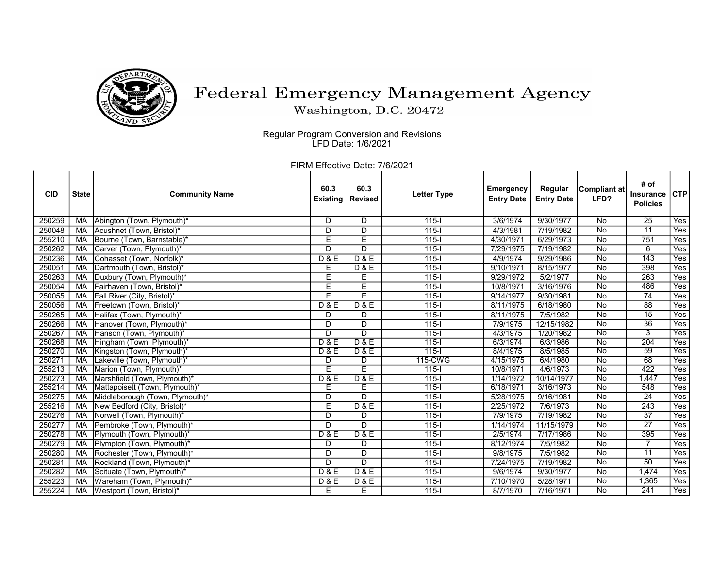

## Federal Emergency Management Agency

Washington, D.C. 20472

 Regular Program Conversion and Revisions LFD Date: 1/6/2021

FIRM Effective Date: 7/6/2021

| <b>CID</b> | <b>State</b> | <b>Community Name</b>           | 60.3<br><b>Existing</b> | 60.3<br><b>Revised</b> | <b>Letter Type</b> | <b>Emergency</b><br><b>Entry Date</b> | Regular<br><b>Entry Date</b> | <b>Compliant at</b><br>LFD? | # of<br>Insurance<br><b>Policies</b> | <b>CTP</b>       |
|------------|--------------|---------------------------------|-------------------------|------------------------|--------------------|---------------------------------------|------------------------------|-----------------------------|--------------------------------------|------------------|
| 250259     | <b>MA</b>    | Abington (Town, Plymouth)*      | D                       | D                      | $115 -$            | 3/6/1974                              | 9/30/1977                    | No                          | $\overline{25}$                      | Yes              |
| 250048     | <b>MA</b>    | Acushnet (Town, Bristol)*       | D                       | D                      | $115 -$            | 4/3/1981                              | 7/19/1982                    | No                          | $\overline{11}$                      | Yes              |
| 255210     | MA           | Bourne (Town, Barnstable)*      | Е                       | E                      | $115 -$            | 4/30/1971                             | 6/29/1973                    | No                          | 751                                  | Yes              |
| 250262     | <b>MA</b>    | Carver (Town, Plymouth)*        | D                       | D                      | $115 -$            | 7/29/1975                             | 7/19/1982                    | No                          | 6                                    | Yes              |
| 250236     | <b>MA</b>    | Cohasset (Town, Norfolk)*       | <b>D&amp;E</b>          | D & E                  | $115-I$            | 4/9/1974                              | 9/29/1986                    | No                          | 143                                  | Yes              |
| 250051     | <b>MA</b>    | Dartmouth (Town, Bristol)*      | Е                       | <b>D&amp;E</b>         | $115 -$            | 9/10/1971                             | 8/15/1977                    | No                          | 398                                  | Yes              |
| 250263     | <b>MA</b>    | Duxbury (Town, Plymouth)*       | Е                       | Е                      | $115 -$            | 9/29/1972                             | 5/2/1977                     | No                          | 263                                  | Yes              |
| 250054     | <b>MA</b>    | Fairhaven (Town, Bristol)*      | Ē                       | Ē                      | $115 -$            | 10/8/1971                             | 3/16/1976                    | No                          | 486                                  | Yes              |
| 250055     | <b>MA</b>    | Fall River (City, Bristol)*     | E                       | E                      | $115 -$            | 9/14/1977                             | 9/30/1981                    | No                          | $\overline{74}$                      | Yes              |
| 250056     | MA           | Freetown (Town, Bristol)*       | <b>D&amp;E</b>          | <b>D&amp;E</b>         | $115 -$            | 8/11/1975                             | 6/18/1980                    | <b>No</b>                   | 88                                   | Yes              |
| 250265     | <b>MA</b>    | Halifax (Town, Plymouth)*       | D                       | D                      | $115 -$            | 8/11/1975                             | 7/5/1982                     | No                          | $\overline{15}$                      | Yes              |
| 250266     | <b>MA</b>    | Hanover (Town, Plymouth)*       | D                       | D                      | $115 -$            | 7/9/1975                              | 12/15/1982                   | No                          | $\overline{36}$                      | Yes              |
| 250267     | <b>MA</b>    | Hanson (Town, Plymouth)*        | $\overline{D}$          | $\overline{D}$         | $115 -$            | 4/3/1975                              | 1/20/1982                    | No                          | 3                                    | Yes              |
| 250268     | <b>MA</b>    | Hingham (Town, Plymouth)*       | D & E                   | D & E                  | $115 -$            | 6/3/1974                              | 6/3/1986                     | $\overline{N}$              | 204                                  | Yes              |
| 250270     | <b>MA</b>    | Kingston (Town, Plymouth)*      | <b>D&amp;E</b>          | <b>D&amp;E</b>         | $115 -$            | 8/4/1975                              | 8/5/1985                     | $\overline{N}$              | $\overline{59}$                      | Yes              |
| 250271     | <b>MA</b>    | Lakeville (Town, Plymouth)*     | D                       | D                      | 115-CWG            | 4/15/1975                             | 6/4/1980                     | No                          | $\overline{68}$                      | <b>Yes</b>       |
| 255213     | <b>MA</b>    | Marion (Town, Plymouth)*        | Ε                       | Ε                      | $115 -$            | 10/8/1971                             | 4/6/1973                     | No                          | 422                                  | <b>Yes</b>       |
| 250273     | <b>MA</b>    | Marshfield (Town, Plymouth)*    | D & E                   | D & E                  | $115 -$            | 1/14/1972                             | 10/14/1977                   | $\overline{N}$              | 1.447                                | Yes              |
| 255214     | <b>MA</b>    | Mattapoisett (Town, Plymouth)*  | Ε                       | Е                      | $115 -$            | 6/18/1971                             | 3/16/1973                    | $\overline{N}$              | 548                                  | <b>Yes</b>       |
| 250275     | <b>MA</b>    | Middleborough (Town, Plymouth)* | D                       | $\overline{D}$         | $115 -$            | 5/28/1975                             | 9/16/1981                    | $\overline{No}$             | $\overline{24}$                      | Yes              |
| 255216     | <b>MA</b>    | New Bedford (City, Bristol)*    | Е                       | <b>D&amp;E</b>         | $115 -$            | 2/25/1972                             | 7/6/1973                     | No                          | 243                                  | Yes              |
| 250276     | <b>MA</b>    | Norwell (Town, Plymouth)*       | D                       | D                      | $115 -$            | 7/9/1975                              | 7/19/1982                    | No                          | $\overline{37}$                      | Yes              |
| 250277     | <b>MA</b>    | Pembroke (Town, Plymouth)*      | D                       | D                      | $115 -$            | 1/14/1974                             | 11/15/1979                   | No                          | $\overline{27}$                      | Yes              |
| 250278     | <b>MA</b>    | Plymouth (Town, Plymouth)*      | <b>D&amp;E</b>          | <b>D&amp;E</b>         | $115 -$            | 2/5/1974                              | 7/17/1986                    | No                          | 395                                  | Yes              |
| 250279     | MA           | Plympton (Town, Plymouth)*      | D                       | D                      | $115 -$            | 8/12/1974                             | 7/5/1982                     | $\overline{No}$             | $\overline{7}$                       | $\overline{Yes}$ |
| 250280     | <b>MA</b>    | Rochester (Town, Plymouth)*     | D                       | D                      | $115 -$            | 9/8/1975                              | 7/5/1982                     | No                          | $\overline{11}$                      | Yes              |
| 250281     | <b>MA</b>    | Rockland (Town, Plymouth)*      | D                       | D                      | $115 -$            | 7/24/1975                             | 7/19/1982                    | No                          | 50                                   | Yes              |
| 250282     | <b>MA</b>    | Scituate (Town, Plymouth)*      | <b>D&amp;E</b>          | <b>D&amp;E</b>         | $115 -$            | 9/6/1974                              | 9/30/1977                    | No                          | 1.474                                | Yes              |
| 255223     | MA           | Wareham (Town, Plymouth)*       | <b>D&amp;E</b>          | <b>D&amp;E</b>         | $115 -$            | 7/10/1970                             | 5/28/1971                    | No                          | 1,365                                | Yes              |
| 255224     | <b>MA</b>    | Westport (Town, Bristol)*       | E                       | E                      | $115 -$            | 8/7/1970                              | 7/16/1971                    | $\overline{No}$             | 241                                  | <b>Yes</b>       |